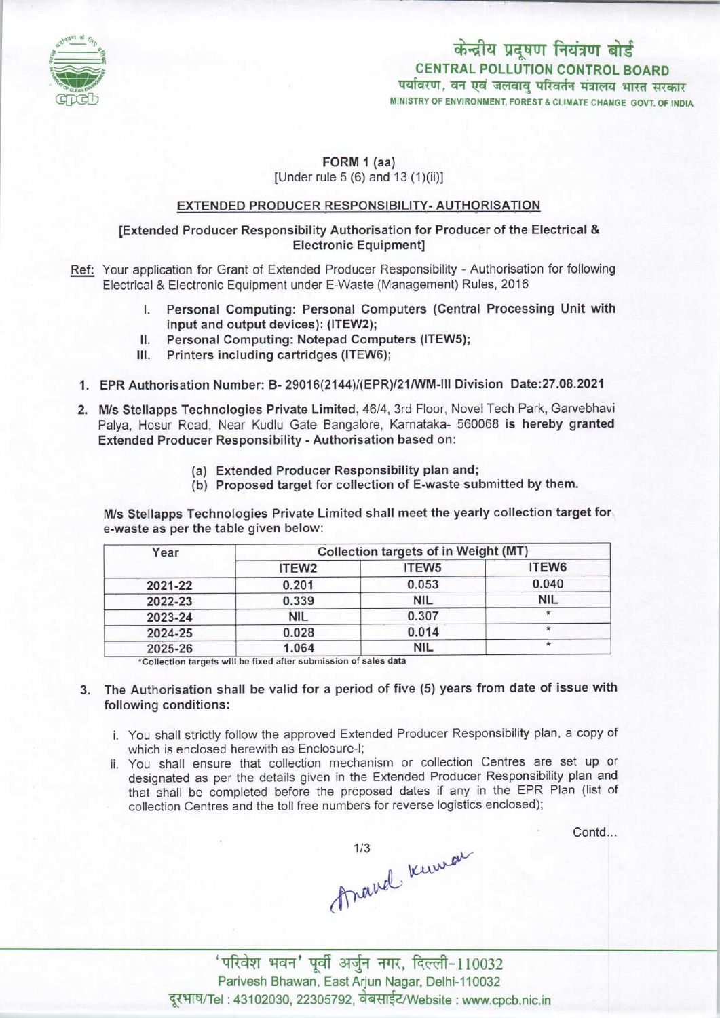

पर्यावरण, वन एवं जलवाय परिवर्तन मंत्रालय भारत सरकार केन्द्रीय प्रदूषण नियंत्रण बोर्ड CENTRAL POLLUTION CONTROL BOARD

MINISTRY OF ENVIRONMENT, FOREST & CLIMATE CHANGE GOVT, OF INDIA

### FORM 1 (aa) [Under rule 5 (6) and 13 (1)(ii)]

#### EXTENDED PRODUCER RESPONSIBILITY- AUTHORISATION

#### [Extended Producer Responsibility Authorisation for Producer of the Electrical & Electronic Equipment]

- Ref: Your application for Grant of Extended Producer Responsibility Authorisation for following Electrical & Electronic Equipment under E-Waste (Management) Rules, 2016
	- I. Personal Computing: Personal Computers (Central Processing Unit with input and output devices): (ITEW2);
	- II. Personal Computing: Notepad Computers (ITEW5);<br>III. Printers including cartridges (ITEW6):
	- Printers including cartridges (ITEW6);
	- 1.EPR Authorisation Number: B- 29016(2144)/(EPR)/21/WM-lll Division Date:27.08.2021
	- 2.M/s Stellapps Technologies Private Limited, 46/4, 3rd Floor, Novel Tech Park, Garvebhavi Palya, Hosur Road, Near Kudlu Gate Bangalore, Karnataka- 560068 is hereby granted Extended Producer Responsibility - Authorisation based on:
		- (a)Extended Producer Responsibility plan and;
		- (b) Proposed target for collection of E-waste submitted by them.

M/s Stellapps Technologies Private Limited shall meet the yearly collection target for e-waste as per the table given below:

| Year    | Collection targets of in Weight (MT) |                   |            |
|---------|--------------------------------------|-------------------|------------|
|         | ITEW <sub>2</sub>                    | ITEW <sub>5</sub> | ITEW6      |
| 2021-22 | 0.201                                | 0.053             | 0.040      |
| 2022-23 | 0.339                                | <b>NIL</b>        | <b>NIL</b> |
| 2023-24 | NIL                                  | 0.307             |            |
| 2024-25 | 0.028                                | 0.014             |            |
| 2025-26 | 1.064                                | <b>NIL</b>        | $\star$    |

'Collection targets will ba fixed aftersubmission of sales data

- 3. The Authorisation shall be valid for a period of five (5) yearsfrom date of issue with following conditions:
	- i. You shall strictly follow the approved Extended Producer Responsibility plan, a copy of which is enclosed herewith as Enclosure-I;
	- ii. You shall ensure that collection mechanism or collection Centres are set up or designated as per the details given in the Extended Producer Responsibility plan and that shall be completed before the proposed dates if any in the EPR Plan (list of collection Centres and the toll free numbers for reverse logistics enclosed);

Contd...

Anavel knowa

' परिवेश भवन' पूर्वी अर्जुन नगर, दिल्ली-110032 Parivesh Bhawan, East Arjun Nagar, Delhi-110032 दूरभाष/Tel: 43102030, 22305792, वेबसाईट/Website : www.cpcb.nic.in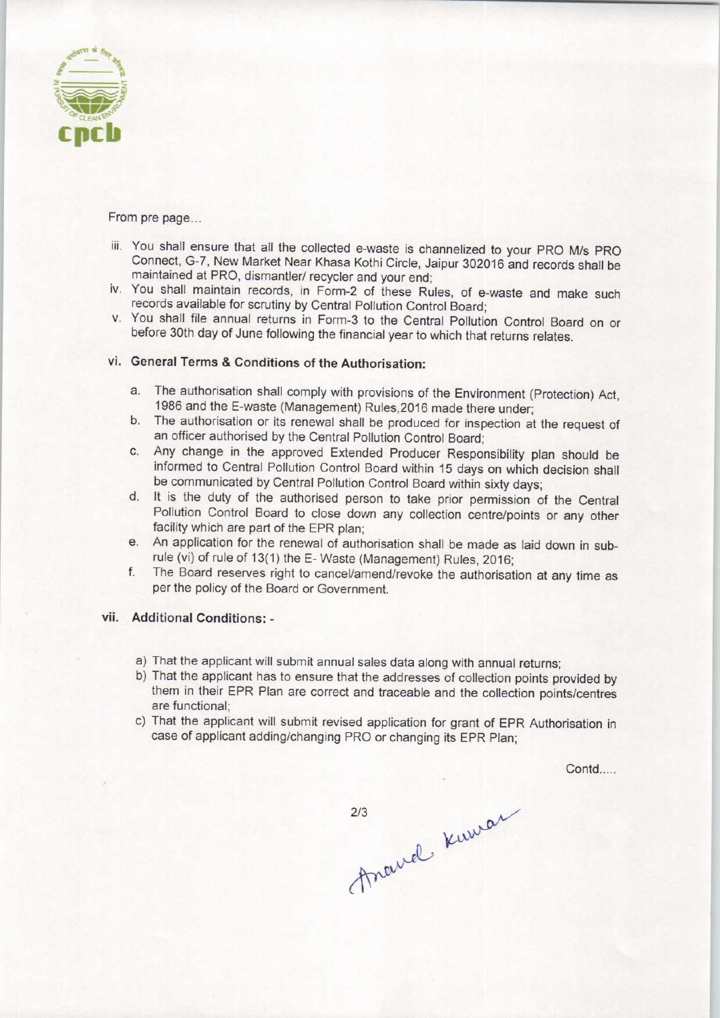

From pre page...

- iii. You shall ensure that all the collected e-waste is channelized to your PRO M/s PRO Connect, G-7, New Market Near Khasa Kothi Circle, Jaipur 302016 and records Shall be maintained at PRO, dismantler/ recycler and your end;
- iv. You shall maintain records, in Form-2 of these Rules, of e-waste and make such records available for scrutiny by Central Pollution Control Board;
- v. You shall file annual returns in Form-3 to the Central Pollution Control Board on or before 30th day of June following the financial year to which that returns relates.

# vi. General Terms & Conditions of the Authorisation:

- a.The authorisation shall comply with provisions of the Environment (Protection) Act, 1986 and the E-waste (Management) Rules,2016 made there under;
- b. The authorisation or its renewal shall be produced for inspection at the request of an officer authorised by the Central Pollution Control Board;
- c.Any change in the approved Extended Producer Responsibility plan should be informed to Central Pollution Control Board within 15 days on which decision shall be communicated by Central Pollution Control Board within sixty days;
- d. It is the duty of the authorised person to take prior permission of the Central Pollution Control Board to close down any collection centre/points or any other facility which are part of the EPR plan;
- e. An application for the renewal of authorisation shall be made as laid down in subrule (vi) of rule of 13(1) the E- Waste (Management) Rules, 2016;
- f.The Board reserves right to cancel/amend/revoke the authorisation at any time as per the policy of the Board or Government.

## vii. Additional Conditions: •

- a)That the applicant will submit annual sales data along with annual returns;
- b) That the applicant has to ensure that the addresses of collection points provided by them in their EPR Plan are correct and traceable and the collection points/centres are functional;
- c) That the applicant will submit revised application for grant of EPR Authorisation in case of applicant adding/changing PRO or changing its EPR Plan;

Contd.....

213 Kuwan